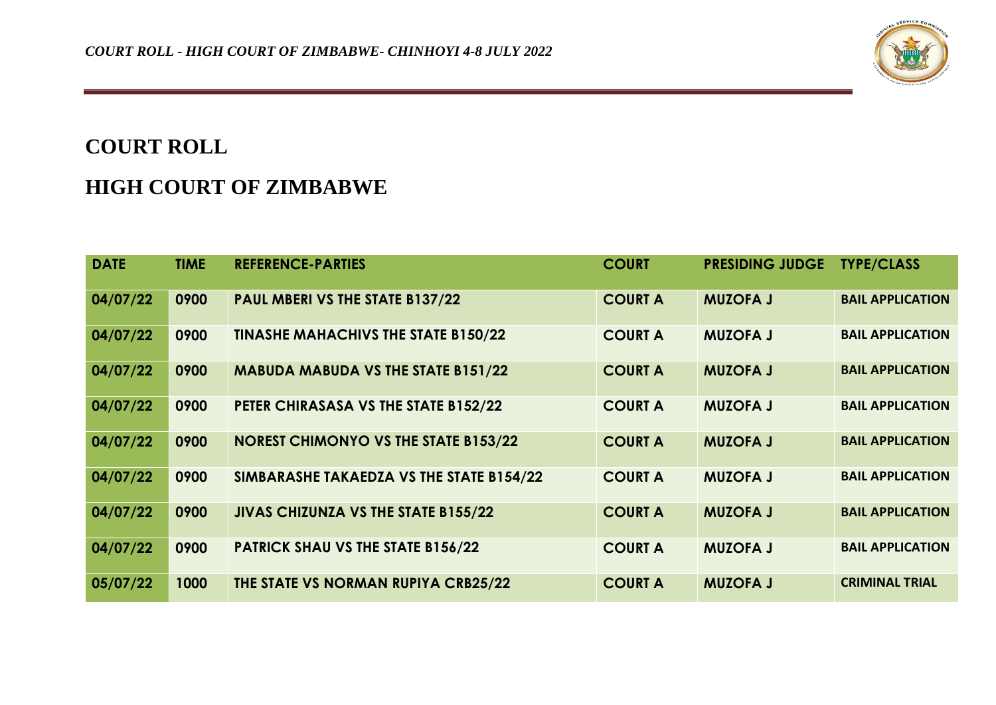

## **COURT ROLL**

## **HIGH COURT OF ZIMBABWE**

| <b>DATE</b> | <b>TIME</b> | <b>REFERENCE-PARTIES</b>                    | <b>COURT</b>   | <b>PRESIDING JUDGE</b> | <b>TYPE/CLASS</b>       |
|-------------|-------------|---------------------------------------------|----------------|------------------------|-------------------------|
| 04/07/22    | 0900        | PAUL MBERI VS THE STATE B137/22             | <b>COURT A</b> | <b>MUZOFA J</b>        | <b>BAIL APPLICATION</b> |
| 04/07/22    | 0900        | <b>TINASHE MAHACHIVS THE STATE B150/22</b>  | <b>COURT A</b> | <b>MUZOFA J</b>        | <b>BAIL APPLICATION</b> |
| 04/07/22    | 0900        | <b>MABUDA MABUDA VS THE STATE B151/22</b>   | <b>COURT A</b> | <b>MUZOFA J</b>        | <b>BAIL APPLICATION</b> |
| 04/07/22    | 0900        | PETER CHIRASASA VS THE STATE B152/22        | <b>COURT A</b> | <b>MUZOFA J</b>        | <b>BAIL APPLICATION</b> |
| 04/07/22    | 0900        | <b>NOREST CHIMONYO VS THE STATE B153/22</b> | <b>COURT A</b> | <b>MUZOFA J</b>        | <b>BAIL APPLICATION</b> |
| 04/07/22    | 0900        | SIMBARASHE TAKAEDZA VS THE STATE B154/22    | <b>COURT A</b> | <b>MUZOFA J</b>        | <b>BAIL APPLICATION</b> |
| 04/07/22    | 0900        | JIVAS CHIZUNZA VS THE STATE B155/22         | <b>COURT A</b> | <b>MUZOFA J</b>        | <b>BAIL APPLICATION</b> |
| 04/07/22    | 0900        | <b>PATRICK SHAU VS THE STATE B156/22</b>    | <b>COURT A</b> | <b>MUZOFA J</b>        | <b>BAIL APPLICATION</b> |
| 05/07/22    | 1000        | THE STATE VS NORMAN RUPIYA CRB25/22         | <b>COURT A</b> | <b>MUZOFA J</b>        | <b>CRIMINAL TRIAL</b>   |